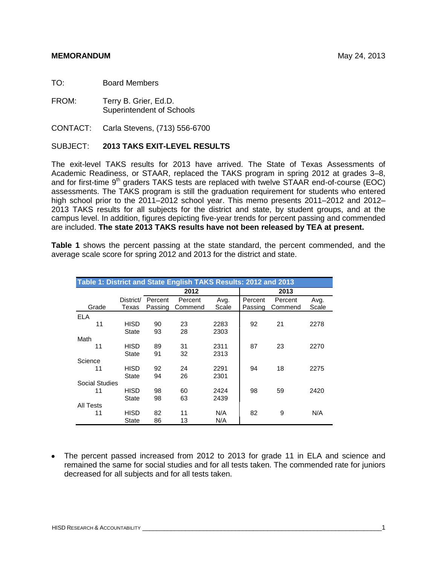TO: Board Members

FROM: Terry B. Grier, Ed.D. Superintendent of Schools

CONTACT: Carla Stevens, (713) 556-6700

## SUBJECT: **2013 TAKS EXIT-LEVEL RESULTS**

The exit-level TAKS results for 2013 have arrived. The State of Texas Assessments of Academic Readiness, or STAAR, replaced the TAKS program in spring 2012 at grades 3–8, and for first-time  $9<sup>th</sup>$  graders TAKS tests are replaced with twelve STAAR end-of-course (EOC) assessments. The TAKS program is still the graduation requirement for students who entered high school prior to the 2011–2012 school year. This memo presents 2011–2012 and 2012– 2013 TAKS results for all subjects for the district and state, by student groups, and at the campus level. In addition, figures depicting five-year trends for percent passing and commended are included. **The state 2013 TAKS results have not been released by TEA at present.**

**Table 1** shows the percent passing at the state standard, the percent commended, and the average scale score for spring 2012 and 2013 for the district and state.

| Table 1: District and State English TAKS Results: 2012 and 2013 |              |         |         |       |         |         |       |  |  |  |  |  |  |  |
|-----------------------------------------------------------------|--------------|---------|---------|-------|---------|---------|-------|--|--|--|--|--|--|--|
|                                                                 |              |         | 2013    |       |         |         |       |  |  |  |  |  |  |  |
|                                                                 | District/    | Percent | Percent | Avg.  | Percent | Percent | Avg.  |  |  |  |  |  |  |  |
| Grade                                                           | Texas        | Passing | Commend | Scale | Passing | Commend | Scale |  |  |  |  |  |  |  |
| <b>ELA</b>                                                      |              |         |         |       |         |         |       |  |  |  |  |  |  |  |
| 11                                                              | HISD         | 90      | 23      | 2283  | 92      | 21      | 2278  |  |  |  |  |  |  |  |
|                                                                 | <b>State</b> | 93      | 28      | 2303  |         |         |       |  |  |  |  |  |  |  |
| Math                                                            |              |         |         |       |         |         |       |  |  |  |  |  |  |  |
| 11                                                              | HISD         | 89      | 31      | 2311  | 87      | 23      | 2270  |  |  |  |  |  |  |  |
|                                                                 | State        | 91      | 32      | 2313  |         |         |       |  |  |  |  |  |  |  |
| Science                                                         |              |         |         |       |         |         |       |  |  |  |  |  |  |  |
| 11                                                              | HISD         | 92      | 24      | 2291  | 94      | 18      | 2275  |  |  |  |  |  |  |  |
|                                                                 | <b>State</b> | 94      | 26      | 2301  |         |         |       |  |  |  |  |  |  |  |
| Social Studies                                                  |              |         |         |       |         |         |       |  |  |  |  |  |  |  |
| 11                                                              | HISD         | 98      | 60      | 2424  | 98      | 59      | 2420  |  |  |  |  |  |  |  |
|                                                                 | <b>State</b> | 98      | 63      | 2439  |         |         |       |  |  |  |  |  |  |  |
| All Tests                                                       |              |         |         |       |         |         |       |  |  |  |  |  |  |  |
| 11                                                              | HISD         | 82      | 11      | N/A   | 82      | 9       | N/A   |  |  |  |  |  |  |  |
|                                                                 | State        | 86      | 13      | N/A   |         |         |       |  |  |  |  |  |  |  |

• The percent passed increased from 2012 to 2013 for grade 11 in ELA and science and remained the same for social studies and for all tests taken. The commended rate for juniors decreased for all subjects and for all tests taken.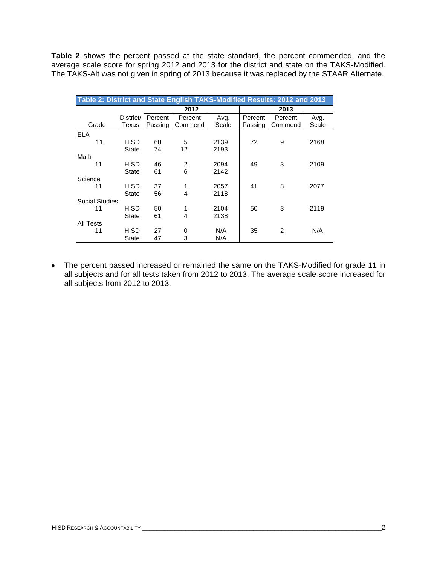**Table 2** shows the percent passed at the state standard, the percent commended, and the average scale score for spring 2012 and 2013 for the district and state on the TAKS-Modified. The TAKS-Alt was not given in spring of 2013 because it was replaced by the STAAR Alternate.

| Table 2: District and State English TAKS-Modified Results: 2012 and 2013<br>2012 |                      |                    |                    |               |                    |                    |               |  |  |  |  |  |  |  |
|----------------------------------------------------------------------------------|----------------------|--------------------|--------------------|---------------|--------------------|--------------------|---------------|--|--|--|--|--|--|--|
|                                                                                  |                      | 2013               |                    |               |                    |                    |               |  |  |  |  |  |  |  |
| Grade                                                                            | District/<br>Texas   | Percent<br>Passing | Percent<br>Commend | Avg.<br>Scale | Percent<br>Passing | Percent<br>Commend | Avg.<br>Scale |  |  |  |  |  |  |  |
| <b>ELA</b>                                                                       |                      |                    |                    |               |                    |                    |               |  |  |  |  |  |  |  |
| 11                                                                               | HISD<br><b>State</b> | 60<br>74           | 5<br>12            | 2139<br>2193  | 72                 | 9                  | 2168          |  |  |  |  |  |  |  |
| Math                                                                             |                      |                    |                    |               |                    |                    |               |  |  |  |  |  |  |  |
| 11                                                                               | HISD                 | 46                 | 2                  | 2094          | 49                 | 3                  | 2109          |  |  |  |  |  |  |  |
|                                                                                  | <b>State</b>         | 61                 | 6                  | 2142          |                    |                    |               |  |  |  |  |  |  |  |
| Science                                                                          |                      |                    |                    |               |                    |                    |               |  |  |  |  |  |  |  |
| 11                                                                               | HISD                 | 37                 | 1                  | 2057          | 41                 | 8                  | 2077          |  |  |  |  |  |  |  |
|                                                                                  | <b>State</b>         | 56                 | 4                  | 2118          |                    |                    |               |  |  |  |  |  |  |  |
| Social Studies                                                                   |                      |                    |                    |               |                    |                    |               |  |  |  |  |  |  |  |
| 11                                                                               | HISD                 | 50                 | 1                  | 2104          | 50                 | 3                  | 2119          |  |  |  |  |  |  |  |
|                                                                                  | <b>State</b>         | 61                 | 4                  | 2138          |                    |                    |               |  |  |  |  |  |  |  |
| All Tests                                                                        |                      |                    |                    |               |                    |                    |               |  |  |  |  |  |  |  |
| 11                                                                               | HISD                 | 27                 | 0                  | N/A           | 35                 | $\overline{2}$     | N/A           |  |  |  |  |  |  |  |
|                                                                                  | <b>State</b>         | 47                 | 3                  | N/A           |                    |                    |               |  |  |  |  |  |  |  |

The percent passed increased or remained the same on the TAKS-Modified for grade 11 in all subjects and for all tests taken from 2012 to 2013. The average scale score increased for all subjects from 2012 to 2013.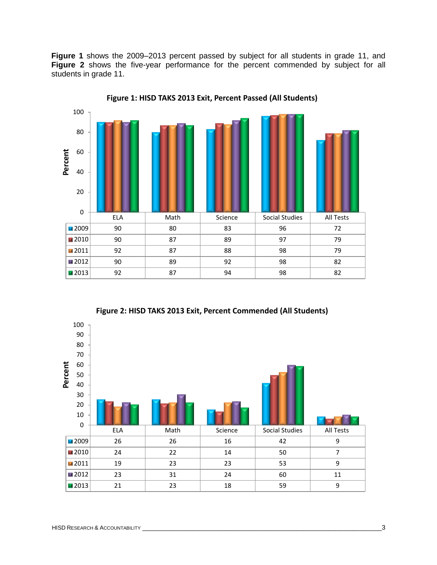**Figure 1** shows the 2009–2013 percent passed by subject for all students in grade 11, and **Figure 2** shows the five-year performance for the percent commended by subject for all students in grade 11.



**Figure 1: HISD TAKS 2013 Exit, Percent Passed (All Students)**



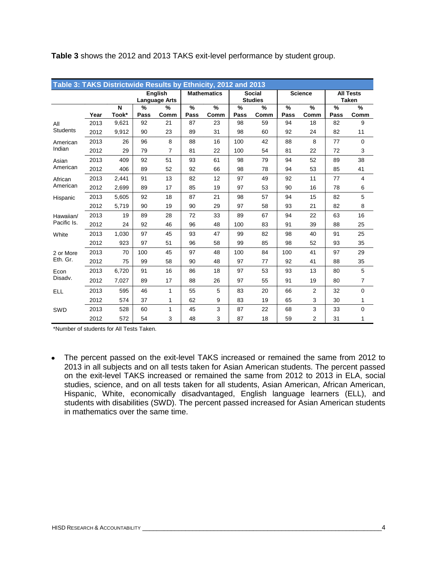|                 | Table 3: TAKS Districtwide Results by Ethnicity, 2012 and 2013 |       |      |                                 |           |                    |                       |                                 |                       |                |      |                                  |  |  |
|-----------------|----------------------------------------------------------------|-------|------|---------------------------------|-----------|--------------------|-----------------------|---------------------------------|-----------------------|----------------|------|----------------------------------|--|--|
|                 |                                                                |       |      | English<br><b>Language Arts</b> |           | <b>Mathematics</b> |                       | <b>Social</b><br><b>Studies</b> |                       | <b>Science</b> |      | <b>All Tests</b><br><b>Taken</b> |  |  |
|                 |                                                                | N     | %    | %                               | $\%$<br>% |                    | $\frac{9}{6}$<br>$\%$ |                                 | $\%$<br>$\frac{9}{6}$ |                | %    | $\frac{9}{6}$                    |  |  |
|                 | Year                                                           | Took* | Pass | Comm                            | Pass      | Comm               | Pass                  | Comm                            | Pass                  | Comm           | Pass | Comm                             |  |  |
| All             | 2013                                                           | 9,621 | 92   | 21                              | 87        | 23                 | 98                    | 59                              | 94                    | 18             | 82   | 9                                |  |  |
| <b>Students</b> | 2012                                                           | 9,912 | 90   | 23                              | 89        | 31                 | 98                    | 60                              | 92                    | 24             | 82   | 11                               |  |  |
| American        | 2013                                                           | 26    | 96   | 8                               | 88        | 16                 | 100                   | 42                              | 88                    | 8              | 77   | $\mathbf 0$                      |  |  |
| Indian          | 2012                                                           | 29    | 79   | $\overline{7}$                  | 81        | 22                 | 100                   | 54                              | 81                    | 22             | 72   | 3                                |  |  |
| Asian           | 2013                                                           | 409   | 92   | 51                              | 93        | 61                 | 98                    | 79                              | 94                    | 52             | 89   | 38                               |  |  |
| American        | 2012                                                           | 406   | 89   | 52                              | 92        | 66                 | 98                    | 78                              | 94                    | 53             | 85   | 41                               |  |  |
| African         | 2013                                                           | 2.441 | 91   | 13                              | 82        | 12                 | 97                    | 49                              | 92                    | 11             | 77   | $\overline{4}$                   |  |  |
| American        | 2012                                                           | 2,699 | 89   | 17                              | 85        | 19                 | 97                    | 53                              | 90                    | 16             | 78   | 6                                |  |  |
| Hispanic        | 2013                                                           | 5,605 | 92   | 18                              | 87        | 21                 | 98                    | 57                              | 94                    | 15             | 82   | 5                                |  |  |
|                 | 2012                                                           | 5,719 | 90   | 19                              | 90        | 29                 | 97                    | 58                              | 93                    | 21             | 82   | 8                                |  |  |
| Hawaiian/       | 2013                                                           | 19    | 89   | 28                              | 72        | 33                 | 89                    | 67                              | 94                    | 22             | 63   | 16                               |  |  |
| Pacific Is.     | 2012                                                           | 24    | 92   | 46                              | 96        | 48                 | 100                   | 83                              | 91                    | 39             | 88   | 25                               |  |  |
| White           | 2013                                                           | 1.030 | 97   | 45                              | 93        | 47                 | 99                    | 82                              | 98                    | 40             | 91   | 25                               |  |  |
|                 | 2012                                                           | 923   | 97   | 51                              | 96        | 58                 | 99                    | 85                              | 98                    | 52             | 93   | 35                               |  |  |
| 2 or More       | 2013                                                           | 70    | 100  | 45                              | 97        | 48                 | 100                   | 84                              | 100                   | 41             | 97   | 29                               |  |  |
| Eth. Gr.        | 2012                                                           | 75    | 99   | 58                              | 90        | 48                 | 97                    | 77                              | 92                    | 41             | 88   | 35                               |  |  |
| Econ            | 2013                                                           | 6,720 | 91   | 16                              | 86        | 18                 | 97                    | 53                              | 93                    | 13             | 80   | 5                                |  |  |
| Disadv.         | 2012                                                           | 7,027 | 89   | 17                              | 88        | 26                 | 97                    | 55                              | 91                    | 19             | 80   | $\overline{7}$                   |  |  |
| <b>ELL</b>      | 2013                                                           | 595   | 46   | 1                               | 55        | 5                  | 83                    | 20                              | 66                    | $\overline{2}$ | 32   | $\Omega$                         |  |  |
|                 | 2012                                                           | 574   | 37   | 1                               | 62        | 9                  | 83                    | 19                              | 65                    | 3              | 30   | 1                                |  |  |
| SWD             | 2013                                                           | 528   | 60   | 1                               | 45        | 3                  | 87                    | 22                              | 68                    | 3              | 33   | $\mathbf 0$                      |  |  |
|                 | 2012                                                           | 572   | 54   | 3                               | 48        | 3                  | 87                    | 18                              | 59                    | 2              | 31   | 1                                |  |  |

**Table 3** shows the 2012 and 2013 TAKS exit-level performance by student group.

\*Number of students for All Tests Taken.

The percent passed on the exit-level TAKS increased or remained the same from 2012 to 2013 in all subjects and on all tests taken for Asian American students. The percent passed on the exit-level TAKS increased or remained the same from 2012 to 2013 in ELA, social studies, science, and on all tests taken for all students, Asian American, African American, Hispanic, White, economically disadvantaged, English language learners (ELL), and students with disabilities (SWD). The percent passed increased for Asian American students in mathematics over the same time.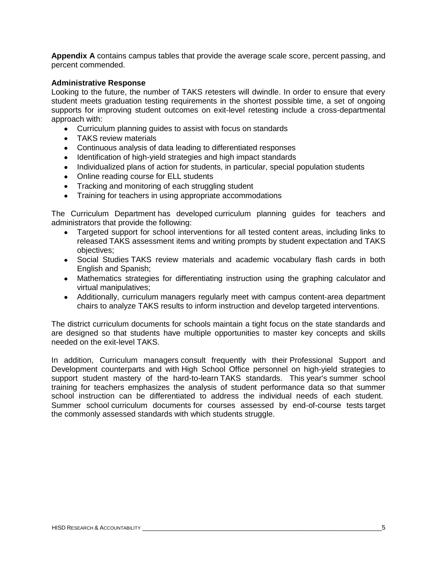**Appendix A** contains campus tables that provide the average scale score, percent passing, and percent commended.

## **Administrative Response**

Looking to the future, the number of TAKS retesters will dwindle. In order to ensure that every student meets graduation testing requirements in the shortest possible time, a set of ongoing supports for improving student outcomes on exit-level retesting include a cross-departmental approach with:

- Curriculum planning guides to assist with focus on standards
- TAKS review materials
- Continuous analysis of data leading to differentiated responses
- Identification of high-yield strategies and high impact standards
- Individualized plans of action for students, in particular, special population students
- Online reading course for ELL students
- Tracking and monitoring of each struggling student
- Training for teachers in using appropriate accommodations

The Curriculum Department has developed curriculum planning guides for teachers and administrators that provide the following:

- Targeted support for school interventions for all tested content areas, including links to released TAKS assessment items and writing prompts by student expectation and TAKS objectives;
- Social Studies TAKS review materials and academic vocabulary flash cards in both English and Spanish;
- Mathematics strategies for differentiating instruction using the graphing calculator and virtual manipulatives;
- Additionally, curriculum managers regularly meet with campus content-area department chairs to analyze TAKS results to inform instruction and develop targeted interventions.

The district curriculum documents for schools maintain a tight focus on the state standards and are designed so that students have multiple opportunities to master key concepts and skills needed on the exit-level TAKS.

In addition, Curriculum managers consult frequently with their Professional Support and Development counterparts and with High School Office personnel on high-yield strategies to support student mastery of the hard-to-learn TAKS standards. This year's summer school training for teachers emphasizes the analysis of student performance data so that summer school instruction can be differentiated to address the individual needs of each student. Summer school curriculum documents for courses assessed by end-of-course tests target the commonly assessed standards with which students struggle.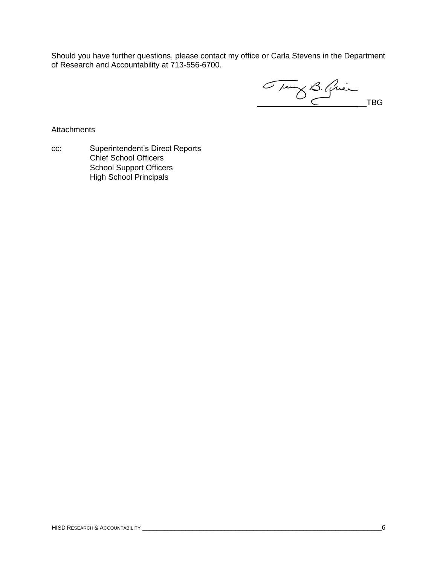Should you have further questions, please contact my office or Carla Stevens in the Department of Research and Accountability at 713-556-6700.

Tung B. Quien TBG

**Attachments** 

cc: Superintendent's Direct Reports Chief School Officers School Support Officers High School Principals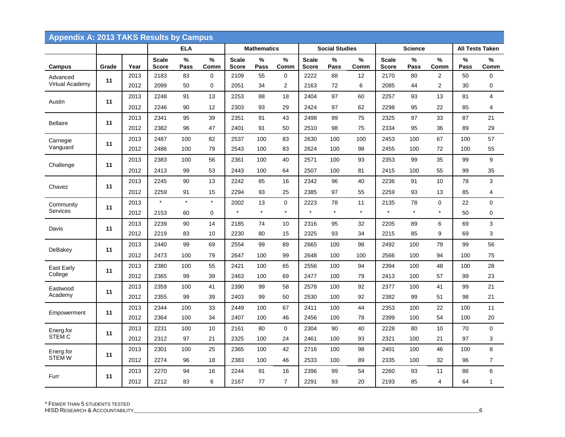| <b>Appendix A: 2013 TAKS Results by Campus</b> |       |      |                              |            |             |                              |                    |                |                              |                       |           |                              |                |                |           |                 |
|------------------------------------------------|-------|------|------------------------------|------------|-------------|------------------------------|--------------------|----------------|------------------------------|-----------------------|-----------|------------------------------|----------------|----------------|-----------|-----------------|
|                                                |       |      |                              | <b>ELA</b> |             |                              | <b>Mathematics</b> |                |                              | <b>Social Studies</b> |           |                              | <b>Science</b> |                |           | All Tests Taken |
| Campus                                         | Grade | Year | <b>Scale</b><br><b>Score</b> | %<br>Pass  | %<br>Comm   | <b>Scale</b><br><b>Score</b> | %<br>Pass          | %<br>Comm      | <b>Scale</b><br><b>Score</b> | %<br>Pass             | %<br>Comm | <b>Scale</b><br><b>Score</b> | %<br>Pass      | %<br>Comm      | %<br>Pass | ℅<br>Comm       |
| Advanced                                       | 11    | 2013 | 2183                         | 83         | 0           | 2109                         | 55                 | 0              | 2222                         | 88                    | 12        | 2170                         | 80             | 2              | 50        | $\Omega$        |
| Virtual Academy                                |       | 2012 | 2099                         | 50         | $\mathbf 0$ | 2051                         | 34                 | $\overline{2}$ | 2163                         | 72                    | 6         | 2085                         | 44             | $\overline{c}$ | 30        | $\mathbf 0$     |
| Austin                                         | 11    | 2013 | 2248                         | 91         | 13          | 2253                         | 88                 | 18             | 2404                         | 97                    | 60        | 2257                         | 93             | 13             | 81        | $\overline{4}$  |
|                                                |       | 2012 | 2246                         | 90         | 12          | 2303                         | 93                 | 29             | 2424                         | 97                    | 62        | 2298                         | 95             | 22             | 85        | 4               |
| <b>Bellaire</b>                                | 11    | 2013 | 2341                         | 95         | 39          | 2351                         | 91                 | 43             | 2498                         | 99                    | 75        | 2325                         | 97             | 33             | 87        | 21              |
|                                                |       | 2012 | 2382                         | 96         | 47          | 2401                         | 91                 | 50             | 2510                         | 98                    | 75        | 2334                         | 95             | 36             | 89        | 29              |
| Carnegie                                       | 11    | 2013 | 2487                         | 100        | 82          | 2537                         | 100                | 83             | 2630                         | 100                   | 100       | 2453                         | 100            | 67             | 100       | 57              |
| Vanguard                                       |       | 2012 | 2486                         | 100        | 79          | 2543                         | 100                | 83             | 2624                         | 100                   | 98        | 2455                         | 100            | 72             | 100       | 55              |
| Challenge                                      | 11    | 2013 | 2383                         | 100        | 56          | 2361                         | 100                | 40             | 2571                         | 100                   | 93        | 2353                         | 99             | 35             | 99        | 9               |
|                                                |       | 2012 | 2413                         | 99         | 53          | 2443                         | 100                | 64             | 2507                         | 100                   | 81        | 2415                         | 100            | 55             | 99        | 35              |
| Chavez                                         | 11    | 2013 | 2245                         | 90         | 13          | 2242                         | 85                 | 16             | 2342                         | 96                    | 40        | 2236                         | 91             | 10             | 78        | $\mathbf{3}$    |
|                                                |       | 2012 | 2259                         | 91         | 15          | 2294                         | 93                 | 25             | 2385                         | 97                    | 55        | 2259                         | 93             | 13             | 85        | 4               |
| Community                                      | 11    | 2013 | $\star$                      | $\star$    | $\star$     | 2002                         | 13                 | 0              | 2223                         | 78                    | 11        | 2135                         | 78             | 0              | 22        | $\mathbf 0$     |
| <b>Services</b>                                |       | 2012 | 2153                         | 60         | $\mathbf 0$ | $\star$                      | $\star$            | $\star$        | $\star$                      | $\star$               | $\star$   | $\star$                      | $\star$        | $\star$        | 50        | $\mathbf 0$     |
| Davis                                          | 11    | 2013 | 2239                         | 90         | 14          | 2185                         | 74                 | 10             | 2316                         | 95                    | 32        | 2205                         | 89             | 6              | 69        | $\mathbf{3}$    |
|                                                |       | 2012 | 2219                         | 83         | 10          | 2230                         | 80                 | 15             | 2325                         | 93                    | 34        | 2215                         | 85             | 9              | 69        | 3               |
|                                                | 11    | 2013 | 2440                         | 99         | 69          | 2554                         | 99                 | 89             | 2665                         | 100                   | 98        | 2492                         | 100            | 79             | 99        | 56              |
| DeBakey                                        |       | 2012 | 2473                         | 100        | 79          | 2647                         | 100                | 99             | 2648                         | 100                   | 100       | 2566                         | 100            | 94             | 100       | 75              |
| East Early                                     | 11    | 2013 | 2380                         | 100        | 55          | 2421                         | 100                | 65             | 2556                         | 100                   | 94        | 2394                         | 100            | 48             | 100       | 28              |
| College                                        |       | 2012 | 2365                         | 99         | 39          | 2463                         | 100                | 69             | 2477                         | 100                   | 79        | 2413                         | 100            | 57             | 99        | 23              |
| Eastwood                                       | 11    | 2013 | 2359                         | 100        | 41          | 2390                         | 99                 | 58             | 2578                         | 100                   | 92        | 2377                         | 100            | 41             | 99        | 21              |
| Academy                                        |       | 2012 | 2355                         | 99         | 39          | 2403                         | 99                 | 50             | 2530                         | 100                   | 92        | 2382                         | 99             | 51             | 98        | 21              |
| Empowerment                                    | 11    | 2013 | 2344                         | 100        | 33          | 2449                         | 100                | 67             | 2411                         | 100                   | 44        | 2353                         | 100            | 22             | 100       | 11              |
|                                                |       | 2012 | 2364                         | 100        | 34          | 2407                         | 100                | 46             | 2456                         | 100                   | 78        | 2399                         | 100            | 54             | 100       | 20              |
| Energ.for                                      | 11    | 2013 | 2231                         | 100        | 10          | 2161                         | 80                 | $\mathbf 0$    | 2304                         | 90                    | 40        | 2228                         | 80             | 10             | 70        | $\mathbf 0$     |
| <b>STEM C</b>                                  |       | 2012 | 2312                         | 97         | 21          | 2325                         | 100                | 24             | 2461                         | 100                   | 93        | 2321                         | 100            | 21             | 97        | 3               |
| Energ.for                                      | 11    | 2013 | 2301                         | 100        | 25          | 2365                         | 100                | 42             | 2716                         | 100                   | 98        | 2401                         | 100            | 46             | 100       | 8               |
| <b>STEM W</b>                                  |       | 2012 | 2274                         | 96         | 18          | 2383                         | 100                | 46             | 2533                         | 100                   | 89        | 2335                         | 100            | 32             | 96        | $\overline{7}$  |
|                                                |       | 2013 | 2270                         | 94         | 16          | 2244                         | 91                 | 16             | 2396                         | 99                    | 54        | 2260                         | 93             | 11             | 86        | 6               |
| Furr                                           | 11    | 2012 | 2212                         | 83         | 6           | 2167                         | 77                 | $\overline{7}$ | 2291                         | 93                    | 20        | 2193                         | 85             | 4              | 64        | $\mathbf{1}$    |

\* FEWER THAN 5 STUDENTS TESTED

HISD RESEARCH & ACCOUNTABILITY\_\_\_\_\_\_\_\_\_\_\_\_\_\_\_\_\_\_\_\_\_\_\_\_\_\_\_\_\_\_\_\_\_\_\_\_\_\_\_\_\_\_\_\_\_\_\_\_\_\_\_\_\_\_\_\_\_\_\_\_\_\_\_\_\_\_\_\_\_\_\_\_\_\_\_\_\_\_\_\_\_\_\_\_\_\_\_\_\_\_\_\_\_\_\_\_\_\_\_\_\_\_\_\_\_\_\_\_\_\_\_\_\_\_\_\_\_\_\_\_\_6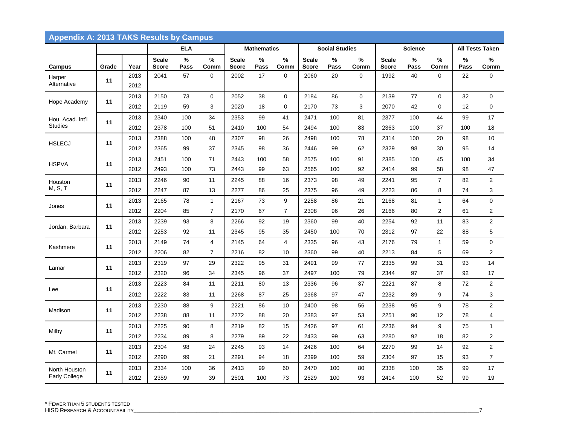|                       | Appendix A: 2013 TAKS Results by Campus |              |                       |            |                |                              |                    |                |                              |                       |             |                              |                |                |           |                         |
|-----------------------|-----------------------------------------|--------------|-----------------------|------------|----------------|------------------------------|--------------------|----------------|------------------------------|-----------------------|-------------|------------------------------|----------------|----------------|-----------|-------------------------|
|                       |                                         |              |                       | <b>ELA</b> |                |                              | <b>Mathematics</b> |                |                              | <b>Social Studies</b> |             |                              | <b>Science</b> |                |           | All Tests Taken         |
| Campus                | Grade                                   | Year         | <b>Scale</b><br>Score | ℅<br>Pass  | %<br>Comm      | <b>Scale</b><br><b>Score</b> | %<br>Pass          | %<br>Comm      | <b>Scale</b><br><b>Score</b> | %<br>Pass             | %<br>Comm   | <b>Scale</b><br><b>Score</b> | $\%$<br>Pass   | %<br>Comm      | %<br>Pass | %<br>Comm               |
| Harper<br>Alternative | 11                                      | 2013<br>2012 | 2041                  | 57         | $\mathbf 0$    | 2002                         | 17                 | $\mathbf 0$    | 2060                         | 20                    | $\mathbf 0$ | 1992                         | 40             | 0              | 22        | 0                       |
|                       |                                         | 2013         | 2150                  | 73         | $\mathbf 0$    | 2052                         | 38                 | $\mathbf 0$    | 2184                         | 86                    | $\mathbf 0$ | 2139                         | 77             | 0              | 32        | $\mathbf 0$             |
| Hope Academy          | 11                                      | 2012         | 2119                  | 59         | 3              | 2020                         | 18                 | $\Omega$       | 2170                         | 73                    | 3           | 2070                         | 42             | 0              | 12        | 0                       |
| Hou. Acad. Int'l      | 11                                      | 2013         | 2340                  | 100        | 34             | 2353                         | 99                 | 41             | 2471                         | 100                   | 81          | 2377                         | 100            | 44             | 99        | 17                      |
| <b>Studies</b>        |                                         | 2012         | 2378                  | 100        | 51             | 2410                         | 100                | 54             | 2494                         | 100                   | 83          | 2363                         | 100            | 37             | 100       | 18                      |
| <b>HSLECJ</b>         | 11                                      | 2013         | 2388                  | 100        | 48             | 2307                         | 98                 | 26             | 2498                         | 100                   | 78          | 2314                         | 100            | 20             | 98        | 10                      |
|                       |                                         | 2012         | 2365                  | 99         | 37             | 2345                         | 98                 | 36             | 2446                         | 99                    | 62          | 2329                         | 98             | 30             | 95        | 14                      |
| <b>HSPVA</b>          | 11                                      | 2013         | 2451                  | 100        | 71             | 2443                         | 100                | 58             | 2575                         | 100                   | 91          | 2385                         | 100            | 45             | 100       | 34                      |
|                       |                                         | 2012         | 2493                  | 100        | 73             | 2443                         | 99                 | 63             | 2565                         | 100                   | 92          | 2414                         | 99             | 58             | 98        | 47                      |
| Houston               | 11                                      | 2013         | 2246                  | 90         | 11             | 2245                         | 88                 | 16             | 2373                         | 98                    | 49          | 2241                         | 95             | $\overline{7}$ | 82        | $\overline{2}$          |
| M, S, T               |                                         | 2012         | 2247                  | 87         | 13             | 2277                         | 86                 | 25             | 2375                         | 96                    | 49          | 2223                         | 86             | 8              | 74        | 3                       |
| Jones                 | 11                                      | 2013         | 2165                  | 78         | $\mathbf{1}$   | 2167                         | 73                 | 9              | 2258                         | 86                    | 21          | 2168                         | 81             | $\mathbf{1}$   | 64        | 0                       |
|                       |                                         | 2012         | 2204                  | 85         | $\overline{7}$ | 2170                         | 67                 | $\overline{7}$ | 2308                         | 96                    | 26          | 2166                         | 80             | 2              | 61        | $\mathbf{2}$            |
| Jordan, Barbara       | 11                                      | 2013         | 2239                  | 93         | 8              | 2266                         | 92                 | 19             | 2360                         | 99                    | 40          | 2254                         | 92             | 11             | 83        | $\overline{\mathbf{c}}$ |
|                       |                                         | 2012         | 2253                  | 92         | 11             | 2345                         | 95                 | 35             | 2450                         | 100                   | 70          | 2312                         | 97             | 22             | 88        | 5                       |
| Kashmere              | 11                                      | 2013         | 2149                  | 74         | 4              | 2145                         | 64                 | 4              | 2335                         | 96                    | 43          | 2176                         | 79             | $\mathbf{1}$   | 59        | $\mathbf 0$             |
|                       |                                         | 2012         | 2206                  | 82         | $\overline{7}$ | 2216                         | 82                 | 10             | 2360                         | 99                    | 40          | 2213                         | 84             | 5              | 69        | $\overline{2}$          |
| Lamar                 | 11                                      | 2013         | 2319                  | 97         | 29             | 2322                         | 95                 | 31             | 2491                         | 99                    | 77          | 2335                         | 99             | 31             | 93        | 14                      |
|                       |                                         | 2012         | 2320                  | 96         | 34             | 2345                         | 96                 | 37             | 2497                         | 100                   | 79          | 2344                         | 97             | 37             | 92        | 17                      |
| Lee                   | 11                                      | 2013         | 2223                  | 84         | 11             | 2211                         | 80                 | 13             | 2336                         | 96                    | 37          | 2221                         | 87             | 8              | 72        | $\overline{2}$          |
|                       |                                         | 2012         | 2222                  | 83         | 11             | 2268                         | 87                 | 25             | 2368                         | 97                    | 47          | 2232                         | 89             | 9              | 74        | 3                       |
| Madison               | 11                                      | 2013         | 2230                  | 88         | 9              | 2221                         | 86                 | 10             | 2400                         | 98                    | 56          | 2238                         | 95             | 9              | 78        | $\overline{c}$          |
|                       |                                         | 2012         | 2238                  | 88         | 11             | 2272                         | 88                 | 20             | 2383                         | 97                    | 53          | 2251                         | 90             | 12             | 78        | 4                       |
| Milby                 | 11                                      | 2013         | 2225                  | 90         | 8              | 2219                         | 82                 | 15             | 2426                         | 97                    | 61          | 2236                         | 94             | 9              | 75        | $\mathbf{1}$            |
|                       |                                         | 2012         | 2234                  | 89         | 8              | 2279                         | 89                 | 22             | 2433                         | 99                    | 63          | 2280                         | 92             | 18             | 82        | 2                       |
| Mt. Carmel            | 11                                      | 2013         | 2304                  | 98         | 24             | 2245                         | 93                 | 14             | 2426                         | 100                   | 64          | 2270                         | 99             | 14             | 92        | $\overline{2}$          |
|                       |                                         | 2012         | 2290                  | 99         | 21             | 2291                         | 94                 | 18             | 2399                         | 100                   | 59          | 2304                         | 97             | 15             | 93        | $\overline{7}$          |
| North Houston         | 11                                      | 2013         | 2334                  | 100        | 36             | 2413                         | 99                 | 60             | 2470                         | 100                   | 80          | 2338                         | 100            | 35             | 99        | 17                      |
| <b>Early College</b>  |                                         | 2012         | 2359                  | 99         | 39             | 2501                         | 100                | 73             | 2529                         | 100                   | 93          | 2414                         | 100            | 52             | 99        | 19                      |

HISD RESEARCH & ACCOUNTABILITY\_\_\_\_\_\_\_\_\_\_\_\_\_\_\_\_\_\_\_\_\_\_\_\_\_\_\_\_\_\_\_\_\_\_\_\_\_\_\_\_\_\_\_\_\_\_\_\_\_\_\_\_\_\_\_\_\_\_\_\_\_\_\_\_\_\_\_\_\_\_\_\_\_\_\_\_\_\_\_\_\_\_\_\_\_\_\_\_\_\_\_\_\_\_\_\_\_\_\_\_\_\_\_\_\_\_\_\_\_\_\_\_\_\_\_\_\_\_\_\_\_7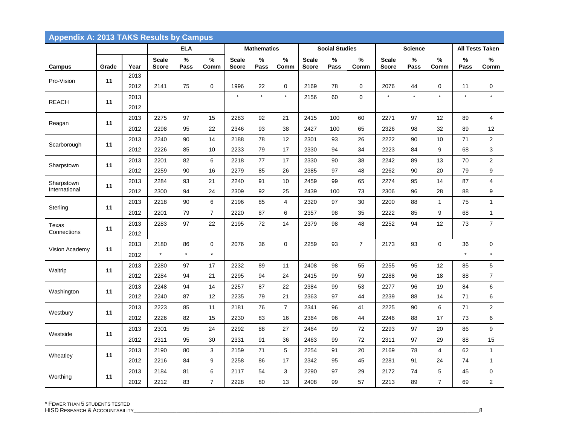| <b>Appendix A: 2013 TAKS Results by Campus</b> |       |              |                              |               |                        |                              |                    |                      |                              |                       |                |                              |                |                     |               |                                        |
|------------------------------------------------|-------|--------------|------------------------------|---------------|------------------------|------------------------------|--------------------|----------------------|------------------------------|-----------------------|----------------|------------------------------|----------------|---------------------|---------------|----------------------------------------|
|                                                |       |              |                              | <b>ELA</b>    |                        |                              | <b>Mathematics</b> |                      |                              | <b>Social Studies</b> |                |                              | <b>Science</b> |                     |               | <b>All Tests Taken</b>                 |
| Campus                                         | Grade | Year         | <b>Scale</b><br><b>Score</b> | $\%$<br>Pass  | $\%$<br>Comm           | <b>Scale</b><br><b>Score</b> | $\%$<br>Pass       | $\%$<br>Comm         | <b>Scale</b><br><b>Score</b> | $\%$<br>Pass          | $\%$<br>Comm   | <b>Scale</b><br><b>Score</b> | $\%$<br>Pass   | $\%$<br>Comm        | $\%$<br>Pass  | $\%$<br>Comm                           |
| Pro-Vision                                     | 11    | 2013<br>2012 | 2141                         | 75            | $\mathbf 0$            | 1996                         | 22                 | $\mathbf 0$          | 2169                         | 78                    | $\mathbf 0$    | 2076                         | 44             | 0                   | 11            | 0                                      |
| <b>REACH</b>                                   | 11    | 2013<br>2012 |                              |               |                        | $\star$                      | $\star$            | $\star$              | 2156                         | 60                    | $\mathbf 0$    | $\star$                      | $\star$        | $\star$             | $\star$       | $\star$                                |
| Reagan                                         | 11    | 2013<br>2012 | 2275<br>2298                 | 97<br>95      | 15<br>22               | 2283<br>2346                 | 92<br>93           | 21<br>38             | 2415<br>2427                 | 100<br>100            | 60<br>65       | 2271<br>2326                 | 97<br>98       | 12<br>32            | 89<br>89      | $\overline{4}$<br>12                   |
| Scarborough                                    | 11    | 2013<br>2012 | 2240<br>2226                 | 90<br>85      | 14<br>10               | 2188<br>2233                 | 78<br>79           | 12<br>17             | 2301<br>2330                 | 93<br>94              | 26<br>34       | 2222<br>2223                 | 90<br>84       | 10<br>9             | 71<br>68      | $\overline{2}$<br>3                    |
| Sharpstown                                     | 11    | 2013<br>2012 | 2201<br>2259                 | 82<br>90      | 6<br>16                | 2218<br>2279                 | 77<br>85           | 17<br>26             | 2330<br>2385                 | 90<br>97              | 38<br>48       | 2242<br>2262                 | 89<br>90       | 13<br>20            | 70<br>79      | $\overline{2}$<br>9                    |
| Sharpstown<br>International                    | 11    | 2013<br>2012 | 2284<br>2300                 | 93<br>94      | 21<br>24               | 2240<br>2309                 | 91<br>92           | 10<br>25             | 2459<br>2439                 | 99<br>100             | 65<br>73       | 2274<br>2306                 | 95<br>96       | 14<br>28            | 87<br>88      | $\overline{\mathbf{4}}$<br>9           |
| Sterling                                       | 11    | 2013<br>2012 | 2218<br>2201                 | 90<br>79      | 6<br>$\overline{7}$    | 2196<br>2220                 | 85<br>87           | $\overline{4}$<br>6  | 2320<br>2357                 | 97<br>98              | 30<br>35       | 2200<br>2222                 | 88<br>85       | $\mathbf{1}$<br>9   | 75<br>68      | $\mathbf{1}$<br>$\mathbf{1}$           |
| Texas<br>Connections                           | 11    | 2013<br>2012 | 2283                         | 97            | 22                     | 2195                         | 72                 | 14                   | 2379                         | 98                    | 48             | 2252                         | 94             | 12                  | 73            | $\overline{7}$                         |
| Vision Academy                                 | 11    | 2013<br>2012 | 2180<br>$\star$              | 86<br>$\star$ | $\mathbf 0$<br>$\star$ | 2076                         | 36                 | $\mathbf 0$          | 2259                         | 93                    | $\overline{7}$ | 2173                         | 93             | 0                   | 36<br>$\star$ | $\mathbf 0$<br>$\star$                 |
| Waltrip                                        | 11    | 2013<br>2012 | 2280<br>2284                 | 97<br>94      | 17<br>21               | 2232<br>2295                 | 89<br>94           | 11<br>24             | 2408<br>2415                 | 98<br>99              | 55<br>59       | 2255<br>2288                 | 95<br>96       | 12<br>18            | 85<br>88      | 5<br>$\overline{7}$                    |
| Washington                                     | 11    | 2013<br>2012 | 2248<br>2240                 | 94<br>87      | 14<br>12               | 2257<br>2235                 | 87<br>79           | 22<br>21             | 2384<br>2363                 | 99<br>97              | 53<br>44       | 2277<br>2239                 | 96<br>88       | 19<br>14            | 84<br>71      | 6<br>6                                 |
| Westbury                                       | 11    | 2013<br>2012 | 2223<br>2226                 | 85<br>82      | 11<br>15               | 2181<br>2230                 | 76<br>83           | $\overline{7}$<br>16 | 2341<br>2364                 | 96<br>96              | 41<br>44       | 2225<br>2246                 | 90<br>88       | 6<br>17             | 71<br>73      | $\boldsymbol{2}$<br>6                  |
| Westside                                       | 11    | 2013<br>2012 | 2301<br>2311                 | 95<br>95      | 24<br>30               | 2292<br>2331                 | 88<br>91           | 27<br>36             | 2464<br>2463                 | 99<br>99              | 72<br>72       | 2293<br>2311                 | 97<br>97       | 20<br>29            | 86<br>88      | 9<br>15                                |
| Wheatley                                       | 11    | 2013<br>2012 | 2190<br>2216                 | 80<br>84      | 3<br>9                 | 2159<br>2258                 | 71<br>86           | 5<br>17              | 2254<br>2342                 | 91<br>95              | 20<br>45       | 2169<br>2281                 | 78<br>91       | 4<br>24             | 62<br>74      | $\mathbf{1}$<br>$\mathbf{1}$           |
| Worthing                                       | 11    | 2013<br>2012 | 2184<br>2212                 | 81<br>83      | 6<br>$\overline{7}$    | 2117<br>2228                 | 54<br>80           | 3<br>13              | 2290<br>2408                 | 97<br>99              | 29<br>57       | 2172<br>2213                 | 74<br>89       | 5<br>$\overline{7}$ | 45<br>69      | $\mathbf 0$<br>$\overline{\mathbf{c}}$ |

\* FEWER THAN 5 STUDENTS TESTED

HISD RESEARCH & ACCOUNTABILITY\_\_\_\_\_\_\_\_\_\_\_\_\_\_\_\_\_\_\_\_\_\_\_\_\_\_\_\_\_\_\_\_\_\_\_\_\_\_\_\_\_\_\_\_\_\_\_\_\_\_\_\_\_\_\_\_\_\_\_\_\_\_\_\_\_\_\_\_\_\_\_\_\_\_\_\_\_\_\_\_\_\_\_\_\_\_\_\_\_\_\_\_\_\_\_\_\_\_\_\_\_\_\_\_\_\_\_\_\_\_\_\_\_\_\_\_\_\_\_\_\_8